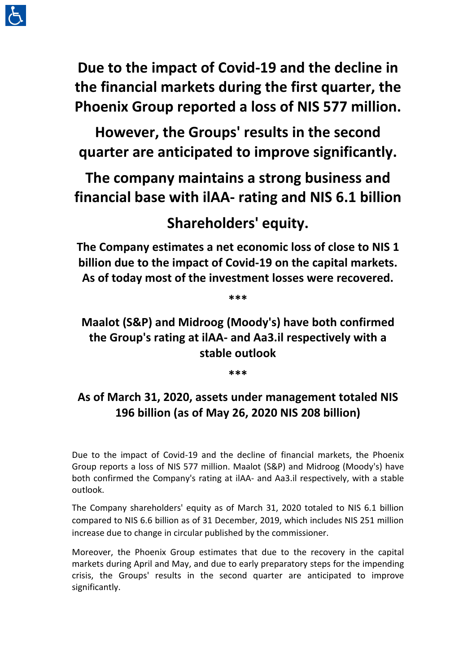

**Due to the impact of Covid-19 and the decline in the financial markets during the first quarter, the Phoenix Group reported a loss of NIS 577 million.** 

**However, the Groups' results in the second quarter are anticipated to improve significantly.** 

**The company maintains a strong business and financial base with ilAA- rating and NIS 6.1 billion** 

# **Shareholders' equity.**

**The Company estimates a net economic loss of close to NIS 1 billion due to the impact of Covid-19 on the capital markets. As of today most of the investment losses were recovered.** 

**\*\*\***

**Maalot (S&P) and Midroog (Moody's) have both confirmed the Group's rating at ilAA- and Aa3.il respectively with a stable outlook**

**\*\*\***

# **As of March 31, 2020, assets under management totaled NIS 196 billion (as of May 26, 2020 NIS 208 billion)**

Due to the impact of Covid-19 and the decline of financial markets, the Phoenix Group reports a loss of NIS 577 million. Maalot (S&P) and Midroog (Moody's) have both confirmed the Company's rating at ilAA- and Aa3.il respectively, with a stable outlook.

The Company shareholders' equity as of March 31, 2020 totaled to NIS 6.1 billion compared to NIS 6.6 billion as of 31 December, 2019, which includes NIS 251 million increase due to change in circular published by the commissioner.

Moreover, the Phoenix Group estimates that due to the recovery in the capital markets during April and May, and due to early preparatory steps for the impending crisis, the Groups' results in the second quarter are anticipated to improve significantly.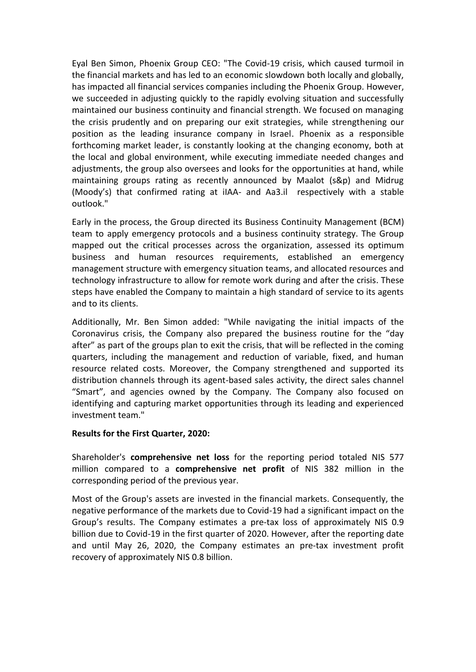Eyal Ben Simon, Phoenix Group CEO: "The Covid-19 crisis, which caused turmoil in the financial markets and has led to an economic slowdown both locally and globally, has impacted all financial services companies including the Phoenix Group. However, we succeeded in adjusting quickly to the rapidly evolving situation and successfully maintained our business continuity and financial strength. We focused on managing the crisis prudently and on preparing our exit strategies, while strengthening our position as the leading insurance company in Israel. Phoenix as a responsible forthcoming market leader, is constantly looking at the changing economy, both at the local and global environment, while executing immediate needed changes and adjustments, the group also oversees and looks for the opportunities at hand, while maintaining groups rating as recently announced by Maalot (s&p) and Midrug (Moody's) that confirmed rating at iIAA- and Aa3.il respectively with a stable outlook."

Early in the process, the Group directed its Business Continuity Management (BCM) team to apply emergency protocols and a business continuity strategy. The Group mapped out the critical processes across the organization, assessed its optimum business and human resources requirements, established an emergency management structure with emergency situation teams, and allocated resources and technology infrastructure to allow for remote work during and after the crisis. These steps have enabled the Company to maintain a high standard of service to its agents and to its clients.

Additionally, Mr. Ben Simon added: "While navigating the initial impacts of the Coronavirus crisis, the Company also prepared the business routine for the "day after" as part of the groups plan to exit the crisis, that will be reflected in the coming quarters, including the management and reduction of variable, fixed, and human resource related costs. Moreover, the Company strengthened and supported its distribution channels through its agent-based sales activity, the direct sales channel "Smart", and agencies owned by the Company. The Company also focused on identifying and capturing market opportunities through its leading and experienced investment team."

# **Results for the First Quarter, 2020:**

Shareholder's **comprehensive net loss** for the reporting period totaled NIS 577 million compared to a **comprehensive net profit** of NIS 382 million in the corresponding period of the previous year.

Most of the Group's assets are invested in the financial markets. Consequently, the negative performance of the markets due to Covid-19 had a significant impact on the Group's results. The Company estimates a pre-tax loss of approximately NIS 0.9 billion due to Covid-19 in the first quarter of 2020. However, after the reporting date and until May 26, 2020, the Company estimates an pre-tax investment profit recovery of approximately NIS 0.8 billion.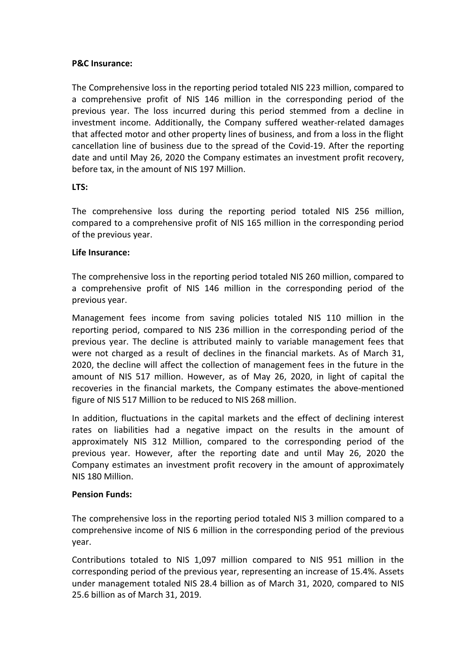# **P&C Insurance:**

The Comprehensive loss in the reporting period totaled NIS 223 million, compared to a comprehensive profit of NIS 146 million in the corresponding period of the previous year. The loss incurred during this period stemmed from a decline in investment income. Additionally, the Company suffered weather-related damages that affected motor and other property lines of business, and from a loss in the flight cancellation line of business due to the spread of the Covid-19. After the reporting date and until May 26, 2020 the Company estimates an investment profit recovery, before tax, in the amount of NIS 197 Million.

#### **LTS:**

The comprehensive loss during the reporting period totaled NIS 256 million, compared to a comprehensive profit of NIS 165 million in the corresponding period of the previous year.

#### **Life Insurance:**

The comprehensive loss in the reporting period totaled NIS 260 million, compared to a comprehensive profit of NIS 146 million in the corresponding period of the previous year.

Management fees income from saving policies totaled NIS 110 million in the reporting period, compared to NIS 236 million in the corresponding period of the previous year. The decline is attributed mainly to variable management fees that were not charged as a result of declines in the financial markets. As of March 31, 2020, the decline will affect the collection of management fees in the future in the amount of NIS 517 million. However, as of May 26, 2020, in light of capital the recoveries in the financial markets, the Company estimates the above-mentioned figure of NIS 517 Million to be reduced to NIS 268 million.

In addition, fluctuations in the capital markets and the effect of declining interest rates on liabilities had a negative impact on the results in the amount of approximately NIS 312 Million, compared to the corresponding period of the previous year. However, after the reporting date and until May 26, 2020 the Company estimates an investment profit recovery in the amount of approximately NIS 180 Million.

#### **Pension Funds:**

The comprehensive loss in the reporting period totaled NIS 3 million compared to a comprehensive income of NIS 6 million in the corresponding period of the previous year.

Contributions totaled to NIS 1,097 million compared to NIS 951 million in the corresponding period of the previous year, representing an increase of 15.4%. Assets under management totaled NIS 28.4 billion as of March 31, 2020, compared to NIS 25.6 billion as of March 31, 2019.